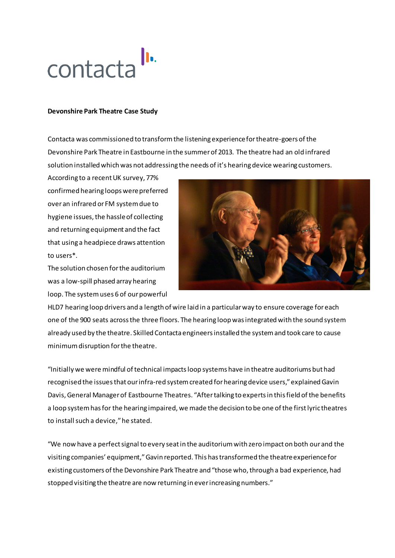

## **Devonshire Park Theatre Case Study**

Contacta was commissioned to transform the listening experience for theatre-goers of the Devonshire Park Theatre in Eastbourne in the summer of 2013. The theatre had an old infrared solution installed which was not addressing the needs of it's hearing device wearing customers.

According to a recent UK survey, 77% confirmed hearing loops were preferred over an infrared or FM system due to hygiene issues, the hassle of collecting and returning equipment and the fact that using a headpiece draws attention to users\*.

The solution chosen for the auditorium was a low-spill phased array hearing loop. The system uses 6 of our powerful



HLD7 hearing loop drivers and a length of wire laid in a particular way to ensure coverage for each one of the 900 seats across the three floors. The hearing loop was integrated with the sound system already used by the theatre. Skilled Contacta engineers installed the system and took care to cause minimum disruption for the theatre.

"Initially we were mindful of technical impacts loop systems have in theatre auditoriums but had recognised the issues that our infra-red system created for hearing device users," explained Gavin Davis, General Manager of Eastbourne Theatres. "After talking to experts in this field of the benefits a loop system has for the hearing impaired, we made the decision to be one of the first lyric theatres to install such a device," he stated.

"We now have a perfect signal to every seat in the auditorium with zero impact on both our and the visiting companies' equipment," Gavin reported. This has transformed the theatre experience for existing customers of the Devonshire Park Theatre and "those who, through a bad experience, had stopped visiting the theatre are now returning in ever increasing numbers."